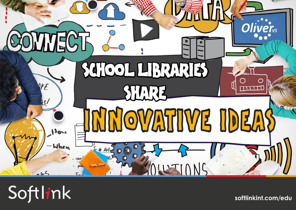

# Softlink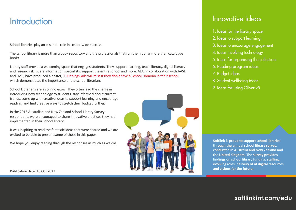## **Introduction**

School libraries play an essential role in school-wide success.

The school library is more than a book repository and the professionals that run them do far more than catalogue books.

Library staff provide a welcoming space that engages students. They support learning, teach literacy, digital literacy and research skills, are information specialists, support the entire school and more. ALA, in collaboration with AASL and LMC, have produced a poster, [100 things kids will miss If they don't have a School Librarian in their school,](http://www.ala.org/aasl/sites/ala.org.aasl/files/content/aaslissues/advocacy/100_Things_Poster.pdf) which demonstrates the importance of the school librarian.

School Librarians are also innovators. They often lead the charge in introducing new technology to students, stay informed about current trends, come up with creative ideas to support learning and encourage reading, and find creative ways to stretch their budget further.

In the 2016 Australian and New Zealand School Library Survey respondents were encouraged to share innovative practices they had implemented in their school library.

It was inspiring to read the fantastic ideas that were shared and we are excited to be able to present some of these in this paper.

We hope you enjoy reading through the responses as much as we did.



### Innovative ideas

- 1. Ideas for the library space
- 2. Ideas to support learning
- 3. Ideas to encourage engagement
- 4. Ideas involving technology
- 5. Ideas for organising the collection
- 6. Reading program ideas
- 7. Budget ideas
- 8. Student wellbeing ideas
- 9. Ideas for using Oliver v5

**Softlink is proud to support school libraries through the annual school library survey, conducted in Australia and New Zealand and the United Kingdom. The survey provides findings on school library funding, staffing, evolving roles, delivery of of digital resources**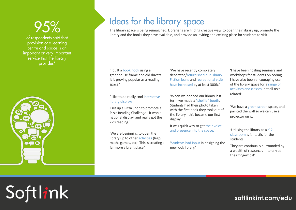of respondents said that provision of a learning centre and space is an important or very important service that the library provides\*



# Ideas for the library space

The library space is being reimagined. Librarians are finding creative ways to open their library up, promote the library and the books they have available, and provide an inviting and exciting place for students to visit.

#### 'I built a book nook using a greenhouse frame and old duvets. It is proving popular as a reading space.'

#### 'I like to do really cool interactive library displays.

I set up a Pizza Shop to promote a Pizza Reading Challenge - it won a national display, and really got the kids reading.'

'We are beginning to open the library up to other activities (lego, maths games, etc). This is creating a far more vibrant place.'

'We have recently completely decorated/refurbished our Library. Fiction loans and recreational visits have increased by at least 300%.'

'When we opened our library last term we made a "shelfie" booth. Students had their photo taken with the first book they took out of the library - this became our first display.

It was quick way to get their voice and presence into the space.'

'Students had input in designing the new look library.'

'I have been hosting seminars and workshops for students on coding. I have also been encouraging use of the library space for a range of activities and classes, not all text related.'

'We have a green screen space, and painted the wall so we can use a projector on it.'

'Utilising the library as a K-2 classroom is fantastic for the students.

They are continually surrounded by a wealth of resources - literally at their fingertips!'

Softlink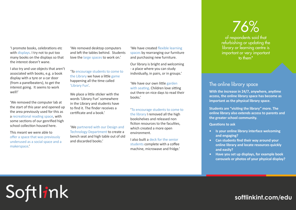'I promote books, celebrations etc with displays. I try not to put too many books on the displays so that the interest doesn't wane.

I also try and use objects that aren't associated with books, e.g. a book display with a tyre or a car door (from a panelbeaters), to get the interest going. It seems to work well!'

'We removed the computer lab at the start of this year and opened up the area previously used for this as a recreational reading space, with some sections of our genrified high school collection housed here.

This meant we were able to offer a space that was previously underused as a social space and a makerspace.'

Softlink

'We removed desktop computers and left the tables behind. Students love the large spaces to work on.'

'To encourage students to come to the Library we have a little game happening all the time called 'Library Fun'.

We place a little sticker with the words 'Library Fun' somewhere in the Library and students have to find it. The finder receives a certificate and a book.'

'We partnered with our Design and Technology Department to create a bench seat and high table out of old and discarded books.'

'We have created flexible learning spaces by rearranging our furniture and purchasing new furniture.

Our library is bright and welcoming - a place where you can study individually, in pairs, or in groups.'

'We have our own little garden with seating. Children love sitting out there on nice days to read their books.'

'To encourage students to come to the library I removed all the high bookshelves and released non fiction resources to the faculties. which created a more open environment.

I also built a deck for the senior students complete with a coffee machine, microwave and fridge.'

# 76%

of respondents said that refurbishing or updating the library or learning centre is important or very important to them\*

#### The online library space

**With the increase in 24/7, anywhere, anytime access, the online library space has become as important as the physical library space.**

**Students are "visiting the library" more. The online library also extends access to parents and the greater school community.** 

**Questions to ask** 

- **• Is your online library interface welcoming and engaging?**
- **• Can students find their way around your online library and locate resources quickly and easily?**
- **• Have you set up displays, for example book carousels or photos of your physical display?**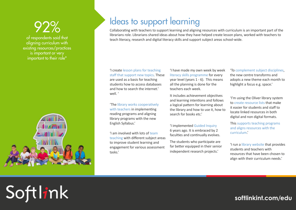of respondents said that aligning curriculum with existing resources/practices is important or very important to their role\*



Softlink

## Ideas to support learning

Collaborating with teachers to support learning and aligning resources with curriculum is an important part of the librarians role. Librarians shared ideas about how they have helped create lesson plans, worked with teachers to teach literacy, research and digital literacy skills and support subject areas school-wide.

#### 'I create lesson plans for teaching staff that support new topics. These are used as a basis for teaching students how to access databases and how to search the internet' well. '

'The library works cooperatively with teachers in implementing reading programs and aligning library programs with the new English Syllabus.'

'I am involved with lots of team teaching with different subject areas to improve student learning and engagement for various assessment tasks.'

'I have made my own week by week literacy skills programme for every year level (years 1 - 6). This means all the planning is done for the teachers each week.

It includes achievement objectives and learning intentions and follows a logical pattern for learning about the library and how to use it, how to search for books etc.'

'I implemented Guided Inquiry 6 years ago. It is embraced by 2 faculties and continually evolves.

The students who participate are far better equipped in their senior independent research projects.'

'To complement subject disciplines, the new centre transforms and adopts a new theme each month to highlight a focus e.g. space.'

'I'm using the Oliver library system to create resource lists that make it easier for students and staff to locate linked resources in both digital and non digital formats.

This supports teaching programs and aligns resources with the curriculum.'

'I run a library website that provides students and teachers with resources that have been chosen to align with their curriculum needs.'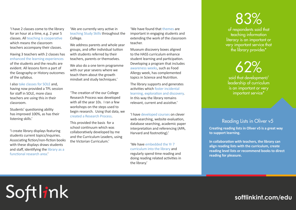'I have 2 classes come to the library for an hour at a time, e.g. 2 year 5 classes. All teaching is cooperative which means the classroom teachers accompany their classes.

Having 3 teachers with 2 classes has enhanced the learning experiences of the students and the results are evident. All lessons form a part of the Geography or History outcomes of the syllabus.

I also take classes for SOLE and, having now provided a TPL session for staff in SOLE, more class teachers are using this in their classroom.

Students' questioning ability has improved 100%, as has their listening skills.'

'I create library displays featuring students current topics/inquiries. Associating fiction/non-fiction books with these displays draws students and staff, identifying the library as a functional research area.'

Softlink

'We are currently very active in teaching Study Skills throughout the College.

We address parents and whole year groups, and offer individual tuition with students referred by their teachers, parents or themselves.

We also do a one term programme with our year sevens where we teach them about the growth mindset and study techniques.'

'The creation of the our College Research Process was developed with all the year 10s. I ran a few workshops on the steps used to begin research. Using that data, we created a Research Process.

This provided the basis for a school continuum which was collaboratively developed by me and the Curriculum Leaders, using the Victorian Curriculum.'

'We have found that themes are important in engaging students and extending the work of the classroom teacher.

Museum discovery boxes aligned to the HASS curriculum enhance student learning and participation. Developing a program that includes awareness weeks, such as Food Allergy week, has complemented topics in Science and Nutrition.

The library supports and generates activities which foster incidental learning, exploration and discovery. In this way the library remains relevant, current and assistive.'

'I have developed courses on clever web-searching, website evaluation, database searching, academic paper interpretation and referencing (APA, Harvard and footnoting).'

'We have embedded the Yr 7 curriculum into the library and regularly spend time reading and doing reading related activities in the library.'

### 83% of respondents said that teaching information literacy is an important or very important service that

the library provides\*

62% said that development/ leadership of curriculum is an important or very

important service\*

#### Reading Lists in Oliver v5

**Creating reading lists in Oliver v5 is a great way to support learning.**

**In collaboration with teachers, the library can align reading lists with the curriculum, create reading level lists or recommend books to direct reading for pleasure.**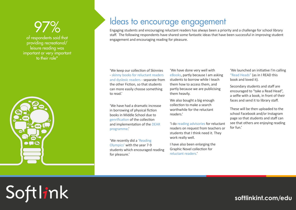of respondents said that providing recreational/ leisure reading was important or very important to their role\*



Softlink

## Ideas to encourage engagement

Engaging students and encouraging reluctant readers has always been a priority and a challenge for school library staff. The following respondents have shared some fantastic ideas that have been successful in improving student engagement and encouraging reading for pleasure.

'We keep our collection of Skinnies - skinny books for reluctant readers and dyslexic readers - separate from the other Fiction, so that students can more easily choose something to read.'

'We have had a dramatic increase in borrowing of physical fiction books in Middle School due to genrification of the collection and implementation of the DEAR programme.'

'We recently did a 'Reading Olympics' with the year 7-9 students which encouraged reading for pleasure.'

'We have done very well with eBooks, partly because I am asking students to borrow while I teach them how to access them, and partly because we are publicising them heavily.

We also bought a big enough collection to make a search worthwhile for the reluctant readers.'

'I do reading advisories for reluctant readers on request from teachers or students that I think need it. They work really well.

I have also been enlarging the Graphic Novel collection for reluctant readers.'

'We launched an initiative I'm calling "Read Heads" (as in I READ this book and loved it).

Secondary students and staff are encouraged to "take a Read Head", a selfie with a book, in front of their faces and send it to library staff.

These will be then uploaded to the school Facebook and/or Instagram page so that students and staff can see that others are enjoying reading for fun.'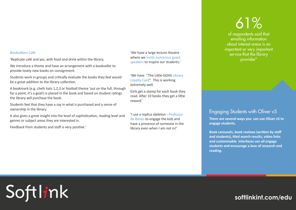#### Booktalkers Café

'Replicate café and yes, with food and drink within the library.

We introduce a theme and have an arrangement with a bookseller to provide lovely new books on consignment.

Students work in groups and critically evaluate the books they feel would be a great addition to the library collection.

A bookmark (e.g. chefs hats 1,2,3 or football theme 'out on the full, through for a point, it's a goal!) is placed in the book and based on student ratings the library will purchase the book.

Students feel that they have a say in what is purchased and a sense of ownership in the library.

It also gives a great insight into the level of sophistication, reading level and genres or subject areas they are interested in.

Feedback from students and staff is very positive.'

Softlink

'We have a large lecture theatre where we invite numerous guest speakers to inspire our students.'

'We have "The Little GGHS Library Loyalty Card". This is working extremely well.

Girls get a stamp for each book they read. After 10 books they get a little reward.'

'I use a replica skeleton - Professor de Bones to engage the kids and have a presence of someone in the library even when I am not in!'

# 61%

of respondents said that emailing information about interest areas is an important or very important service that the library provides\*

#### Engaging Students with Oliver v5

**There are several ways you can use Oliver v5 to engage students.**

**Book carousels, book reviews (written by staff and students), tiled search results, video links and customisable interfaces can all engage students and encourage a love of research and reading.**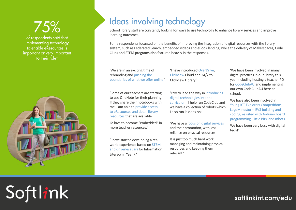of respondents said that implementing technology to enable eResources is important or very important to their role\*



Softlink

# Ideas involving technology

School library staff are constantly looking for ways to use technology to enhance library services and improve learning outcomes.

Some respondents focussed on the benefits of improving the integration of digital resources with the library system, such as Federated Search, embedded videos and eBook lending, while the delivery of Makerspaces, Code Clubs and STEM programs also featured heavily in the responses.

'We are in an exciting time of rebranding and pushing the boundaries of what we offer online.' 'I have introduced OverDrive, Clickview Cloud and 24/7 to Clickview Library.'

'Some of our teachers are starting to use OneNote for their planning. If they share their notebooks with me, I am able to provide access to eResources and detail library resources that are available.

I'd love to become "embedded" in more teacher resources.'

'I have started developing a real world experience based on STEM and driverless cars for Information Literacy in Year 7.'

'I try to lead the way in introducing digital technologies into the curriculum. I help run CodeClub and we have a collection of robots which I also run lessons on.'

'We have a focus on digital services and their promotion, with less reliance on physical resources.

It is just too much hard work managing and maintaining physical resources and keeping them relevant.'

'We have been involved in many digital practices in our library this year including hosting a teacher PD for CodeClubAU and implementing our own CodeClubAU here at school.

We have also been involved in Young ICT Explorers Competitions, LegoMindstorm EV3 building and coding, assisted with Arduino board programming, Little Bits, and mbots.

We have been very busy with digital tech!'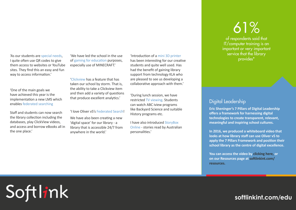'As our students are special needs, I quite often use QR codes to give them access to websites or YouTube sites. They find this an easy and fun way to access information.'

'One of the main goals we have achieved this year is the implementation a new LMS which enables federated searching

Staff and students can now search the library collection including the databases, play ClickView videos, and access and borrow eBooks all in the one place.'

Softlink

'We have led the school in the use of gaming for education purposes, especially use of MINECRAFT.'

'Clickview has a feature that has taken our school by storm. That is, the ability to take a Clickview item and then add a variety of questions that produce excellent analytics.' "During lunch session, we have that produce excellent analytics.'

#### 'I love Oliver v5's Federated Search!

We have also been creating a new 'digital space' for our library - a library that is accessible 24/7 from anywhere in the world.'

'Introduction of a mini 3D printer has been interesting for our creative students and quite well used. Has had the benefit of gaining library support from technology KLA who are pleased to see us developing a collaborative approach with them.'

restricted TV viewing. Students can watch ABC iview programs like Backyard Science and suitable History programs etc.

I have also introduced StoryBox Online - stories read by Australian personalities.'

# 61%

of respondents said that IT/computer training is an important or very important service that the library provides\*

### Digital Leadership

**Eric Sheninger's 7 Pillars of Digital Leadership offers a framework for harnessing digital technologies to create transparent, relevant, meaningful and inspiring school cultures.**

**In 2016, we produced a whiteboard video that looks at how library staff can use Oliver v5 to apply the 7 Pillars Framework and position their school library as the centre of digital excellence.**

**You can access the video by [clicking here,](https://www.softlinkint.com/resource-details/7-pillars-of-digital-leadership-in-schools/) or on our Resources page at [softlinkint.com/](https://www.softlinkint.com/resources/) [resources](https://www.softlinkint.com/resources/).**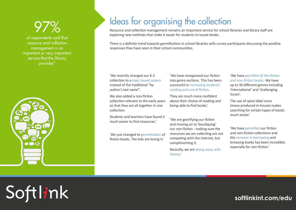of respondents said that resource and collection management is an important or very important service that the library provides\*



Softlink

## Ideas for organising the collection

Resource and collection management remains an important service for school libraries and library staff are exploring new methods that make it easier for students to locate books.

There is a definite trend towards genrefication in school libraries with survey participants discussing the positive responses they have seen in their school communities.

'We recently changed our K-2 collection to a topic based system instead of the traditional "by author's last name".

We also added a non-fiction collection relevant to the early years so that they are all together in one collection.

Students and teachers have found it much easier to find resources.'

'We just changed to genrefication of fiction books. The kids are loving it.'

'We have reorganised our fiction into genre sections. This has been successful in increasing students' reading and use of fiction.

They are much more confident about their choice of reading and being able to find books.'

'We are genrifying our fiction and moving on to 'boutiquing' our non-fiction - making sure the resources we are collecting are not competing with the internet, but complimenting it.

Basically, we are doing away with Dewey.'

'We have genrified all the fiction and non-fiction books. We have up to 30 different genres including 'international' and 'challenging issues'.

The use of spine label icons (many produced in-house) makes searching for certain types of books much easier.'

'We have genrefied our fiction and non-fiction collections and the increase in borrowing and browsing books has been incredible, especially for non-fiction.'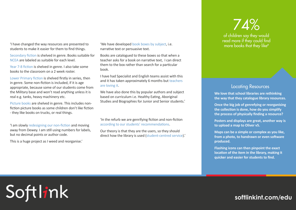'I have changed the way resources are presented to students to make it easier for them to find things.

Secondary fiction is shelved in genre. Books suitable for NCEA are labeled as suitable for each level.

Year 7-8 fiction is shelved in genre. I also take some books to the classroom on a 2 week roster.

Lower Primary fiction is shelved firstly in series, then in genre. Some non-fiction is included, if it is age appropriate, because some of our students come from the Military base and won't read anything unless it is real e.g. tanks, heavy machinery etc.

Picture books are shelved in genre. This includes nonfiction picture books as some children don't like fiction - they like books on trucks, or real things.

'I am slowly redesigning our non-fiction and moving away from Dewey. I am still using numbers for labels, but no decimal points or author code.

This is a huge project as I weed and reorganise.'

Softlink

'We have developed book boxes by subject, i.e. narrative text or persuasive text.

Books are catalogued to these boxes so that when a teacher asks for a book on narrative text, I can direct them to the box rather than search for a particular book.

I have had Specialist and English teams assist with this and it has taken approximately 6 months but teachers are loving it.

We have also done this by popular authors and subject based on curriculum i.e. Healthy Eating, Aboriginal Studies and Biographies for Junior and Senior students.'

'In the refurb we are genrifying fiction and non-fiction according to our students' recommendations.

Our theory is that they are the users, so they should direct how the library is used (student-centred service).'

### 74% of children say they would read more if they could find more books that they like<sup>#</sup>

#### **Locating Resources**

**We love that school libraries are rethinking the way that they catalogue library resources.** 

**Once the big job of genrefying or reorganising the collection is done, how do you simplify the process of physically finding a resource?** 

**Posters and displays are great, another way is to upload a map to Oliver v5.**

**Maps can be a simple or complex as you like, from a photo, to handrawn or even software produced.**

**Flashing icons can then pinpoint the exact location of the item in the library, making it quicker and easier for students to find.**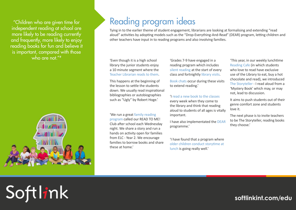"Children who are given time for independent reading at school are more likely to be reading currently and frequently, more likely to enjoy reading books for fun and believe it is important, compared with those who are not  $"#$ 



Softlink

## Reading program ideas

Tying in to the earlier theme of student engagement, librarians are looking at formalising and extending "read aloud" activities by adopting models such as the "Drop-Everything-And-Read" (DEAR) program, letting children and other teachers have input in to reading programs and also involving families.

'Even though it is a high school library the junior students enjoy a 10 minute segment where the Teacher Librarian reads to them.

This happens at the beginning of the lesson to settle the students down. We usually read inspirational bibliographies or autobiographies such as "Ugly" by Robert Hoge.'

'We run a great family reading program called our READ TO ME! Club after school each Wednesday night. We share a story and run a hands on activity open for families from ELC - Year 2. We encourage families to borrow books and share these at home.'

'Grades 7-9 have engaged in a reading program which includes silent reading at the start of every class and fortnightly library visits.

Book chats occur during these visits to extend reading.'

#### 'I read a new book to the classes

every week when they come to the library and think that reading aloud to students of all ages is vitally important.

I have also implementated the DEAR programme.'

'I have found that a program where older children conduct storytime at lunch is going really well.'

'This year, in our weekly lunchtime Reading Cafe (in which students who love to read have exclusive use of the Library to eat, buy a hot chocolate and read), we introduced The Storyteller - I read aloud from a 'Mystery Book' which may, or may not, lead to discussion.

It aims to push students out of their genre comfort zone and students love it.

The next phase is to invite teachers to be The Storyteller, reading books they choose.'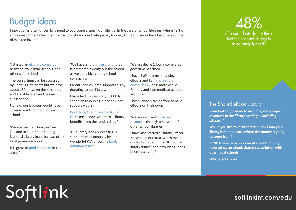# Budget ideas

Innovation is often driven by a need to overcome a specific challenge. In the case of school libraries, where 48% of survey respondents feel that their school library is not adequately funded, limited finances have become a source of inspired invention.

'I started an eLibrary consortium between my 2 small schools, and 2 other small schools.

The consortium can be accessed by up to 500 students but we have about 130 between the 4 schools and are able to share the one subscription.

None of our budgets would have covered a subscription for each

'We are the first library in New Zealand to start co-ordinating National Library loans for two other local primary schools.

It is great to pool resources in rural areas.'

Softlink

'We have a library trust fund, that is promoted throughout the school, as we are a big reading school community.

Parents and children support this by donating to our Library.

I have had upwards of \$30,000 to spend on resources in a year when support was high.

Book fairs, Grandparents days and school.' **Example and South Contract Contract Contract Contract Contract Contract Contract Contract Contract Contract Contract Contract Contract Contract Contract Contract Contract Contract Contract Contract Contract Contr** benefits from the funds raised.'

> 'Our library book purchasing is supplemented annually by our wonderful PTA through a book donation drive.'

'We are decile 1(low income area) government school.

I have 2 ePlatforms providing eBooks and I am sharing the eResources with 8 more decile 1 Primary and Intermediate schools around us.

These schools can't afford to have eBooks on their own.'

resources through a network of other school libraries.

I have also started a Library Officer Network in our area, which meet once a term to discuss all areas of " library duties" and new ideas. It has been successful.'

### 48% of respondents do not think that their school library is adequately funded<sup>\*</sup>

#### The Shared eBook Library

*'I am looking forward to including more digital resources in the library catalogue including eBooks.'\**

**Would you like to incorporate eBooks into your library but are unsure where the money is going to come from?** 

**In 2016, several schools mentioned that they have set up an eBook shared subscription with other local schools.**

**What a great idea!**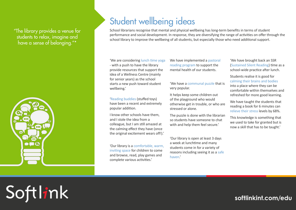"The library provides a venue for students to relax, imagine and have a sense of belonging."\*



Softlink

## Student wellbeing ideas

School librarians recognise that mental and physical wellbeing has long-term benefits in terms of student performance and social development. In response, they are diversifying the range of activities on offer through the school library to improve the wellbeing of all students, but especially those who need additional support.

'We are considering lunch time yoga - with a push to have the library provide resources that support the idea of a Wellness Centre (mainly for senior years) as the school starts a new push toward student wellbeing.'

'Reading buddies (stuffed toys) have been a recent and extremely popular addition.

I know other schools have them, and I stole the idea from a colleague, but I am still amazed at the calming effect they have (once the original excitement wears off!).'

'Our library is a comfortable, warm, inviting space for children to come and browse, read, play games and complete various activities.'

We have implemented a pastoral reading program to support the mental health of our students.

#### 'We have a communal puzzle that is very popular.

It helps keep some children out of the playground who would otherwise get in trouble, or who are stressed or alone.

The puzzle is done with the librarian so students have someone to chat with and help them feel secure.'

'Our library is open at least 3 days a week at lunchtime and many students come in for a variety of reasons including seeing it as a safe haven.'

'We have brought back an SSR (Sustained Silent Reading) time as a school-wide practice after lunch.

#### Students realise it is good for calming their brains and bodies into a place where they can be comfortable within themselves and refreshed for more good learning.

We have taught the students that reading a book for 6 minutes can relieve their stress levels by 68%.

This knowledge is something that we used to take for granted but is now a skill that has to be taught.'